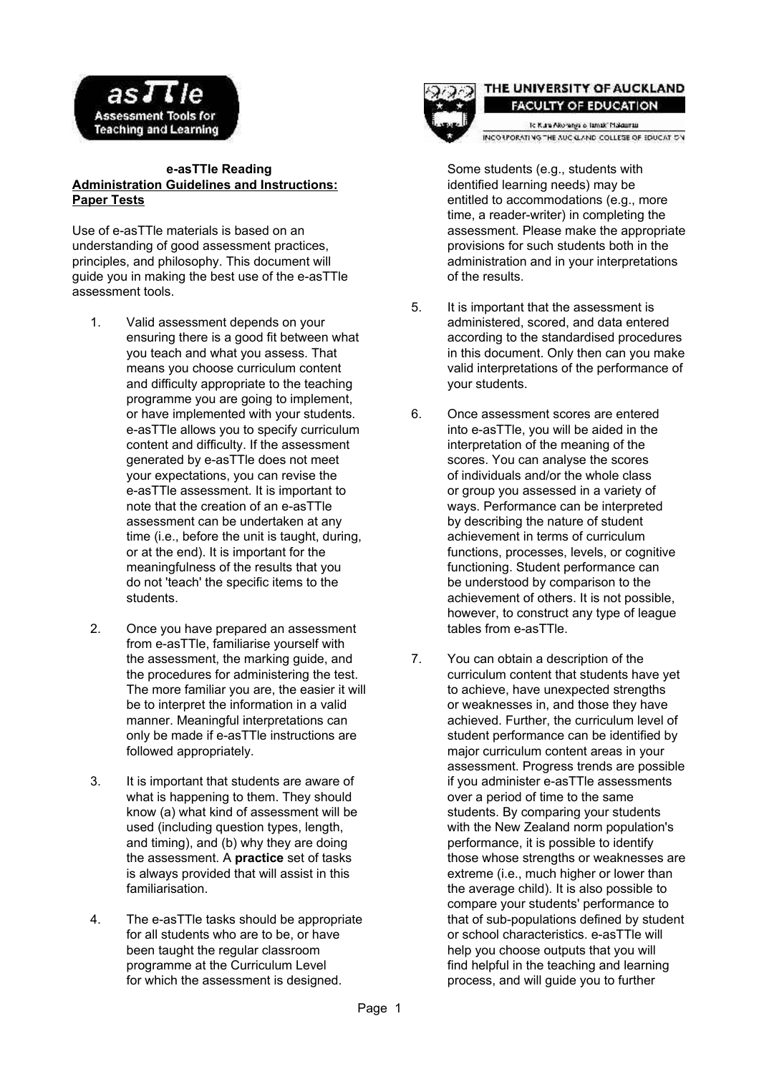

## **e-asTTle Reading Administration Guidelines and Instructions: Paper Tests**

Use of e-asTTle materials is based on an understanding of good assessment practices, principles, and philosophy. This document will guide you in making the best use of the e-asTTle assessment tools.

- 1. Valid assessment depends on your ensuring there is a good fit between what you teach and what you assess. That means you choose curriculum content and difficulty appropriate to the teaching programme you are going to implement, or have implemented with your students. e-asTTle allows you to specify curriculum content and difficulty. If the assessment generated by e-asTTle does not meet your expectations, you can revise the e-asTTle assessment. It is important to note that the creation of an e-asTTle assessment can be undertaken at any time (i.e., before the unit is taught, during, or at the end). It is important for the meaningfulness of the results that you do not 'teach' the specific items to the students.
- 2. Once you have prepared an assessment from e-asTTle, familiarise yourself with the assessment, the marking guide, and the procedures for administering the test. The more familiar you are, the easier it will be to interpret the information in a valid manner. Meaningful interpretations can only be made if e-asTTle instructions are followed appropriately.
- 3. It is important that students are aware of what is happening to them. They should know (a) what kind of assessment will be used (including question types, length, and timing), and (b) why they are doing the assessment. A **practice** set of tasks is always provided that will assist in this familiarisation.
- 4. The e-asTTle tasks should be appropriate for all students who are to be, or have been taught the regular classroom programme at the Curriculum Level for which the assessment is designed.



## THE UNIVERSITY OF AUCKLAND **FACULTY OF EDUCATION**

to Kura Alcoranga o Tamak' Makaurau. INCO LPORATING THE AUC CLAND COLLEGE OF EDUCATION

Some students (e.g., students with identified learning needs) may be entitled to accommodations (e.g., more time, a reader-writer) in completing the assessment. Please make the appropriate provisions for such students both in the administration and in your interpretations of the results.

- 5. It is important that the assessment is administered, scored, and data entered according to the standardised procedures in this document. Only then can you make valid interpretations of the performance of your students.
- 6. Once assessment scores are entered into e-asTTle, you will be aided in the interpretation of the meaning of the scores. You can analyse the scores of individuals and/or the whole class or group you assessed in a variety of ways. Performance can be interpreted by describing the nature of student achievement in terms of curriculum functions, processes, levels, or cognitive functioning. Student performance can be understood by comparison to the achievement of others. It is not possible, however, to construct any type of league tables from e-asTTle.
- 7. You can obtain a description of the curriculum content that students have yet to achieve, have unexpected strengths or weaknesses in, and those they have achieved. Further, the curriculum level of student performance can be identified by major curriculum content areas in your assessment. Progress trends are possible if you administer e-asTTle assessments over a period of time to the same students. By comparing your students with the New Zealand norm population's performance, it is possible to identify those whose strengths or weaknesses are extreme (i.e., much higher or lower than the average child). It is also possible to compare your students' performance to that of sub-populations defined by student or school characteristics. e-asTTle will help you choose outputs that you will find helpful in the teaching and learning process, and will guide you to further